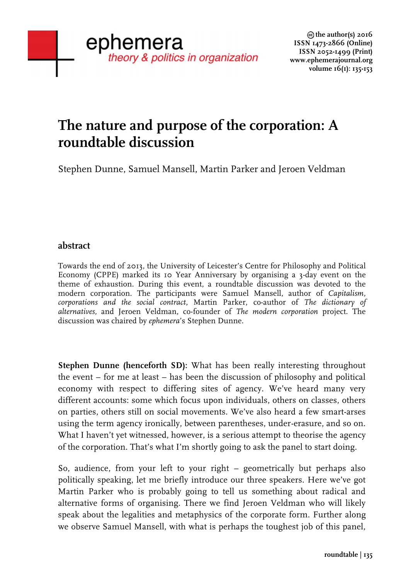# **The nature and purpose of the corporation: A roundtable discussion**

Stephen Dunne, Samuel Mansell, Martin Parker and Jeroen Veldman

## **abstract**

Towards the end of 2013, the University of Leicester's Centre for Philosophy and Political Economy (CPPE) marked its 10 Year Anniversary by organising a 3-day event on the theme of exhaustion. During this event, a roundtable discussion was devoted to the modern corporation. The participants were Samuel Mansell, author of *Capitalism, corporations and the social contract,* Martin Parker, co-author of *The dictionary of alternatives,* and Jeroen Veldman, co-founder of *The modern corporation* project. The discussion was chaired by *ephemera*'s Stephen Dunne.

**Stephen Dunne (henceforth SD):** What has been really interesting throughout the event – for me at least – has been the discussion of philosophy and political economy with respect to differing sites of agency. We've heard many very different accounts: some which focus upon individuals, others on classes, others on parties, others still on social movements. We've also heard a few smart-arses using the term agency ironically, between parentheses, under-erasure, and so on. What I haven't yet witnessed, however, is a serious attempt to theorise the agency of the corporation. That's what I'm shortly going to ask the panel to start doing.

So, audience, from your left to your right – geometrically but perhaps also politically speaking, let me briefly introduce our three speakers. Here we've got Martin Parker who is probably going to tell us something about radical and alternative forms of organising. There we find Jeroen Veldman who will likely speak about the legalities and metaphysics of the corporate form. Further along we observe Samuel Mansell, with what is perhaps the toughest job of this panel,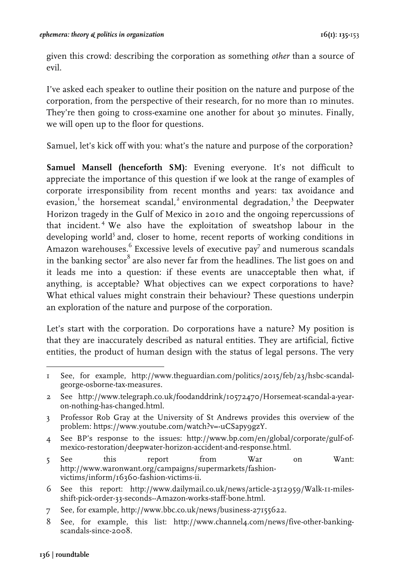given this crowd: describing the corporation as something *other* than a source of evil.

I've asked each speaker to outline their position on the nature and purpose of the corporation, from the perspective of their research, for no more than 10 minutes. They're then going to cross-examine one another for about 30 minutes. Finally, we will open up to the floor for questions.

Samuel, let's kick off with you: what's the nature and purpose of the corporation?

**Samuel Mansell (henceforth SM):** Evening everyone. It's not difficult to appreciate the importance of this question if we look at the range of examples of corporate irresponsibility from recent months and years: tax avoidance and evasion,<sup>1</sup> the horsemeat scandal,<sup>2</sup> environmental degradation,<sup>3</sup> the Deepwater Horizon tragedy in the Gulf of Mexico in 2010 and the ongoing repercussions of that incident. <sup>4</sup> We also have the exploitation of sweatshop labour in the developing world<sup>5</sup> and, closer to home, recent reports of working conditions in Amazon warehouses. $6$  Excessive levels of executive pay<sup>7</sup> and numerous scandals in the banking sector $^{8}$  are also never far from the headlines. The list goes on and it leads me into a question: if these events are unacceptable then what, if anything, is acceptable? What objectives can we expect corporations to have? What ethical values might constrain their behaviour? These questions underpin an exploration of the nature and purpose of the corporation.

Let's start with the corporation. Do corporations have a nature? My position is that they are inaccurately described as natural entities. They are artificial, fictive entities, the product of human design with the status of legal persons. The very

- 4 See BP's response to the issues: http://www.bp.com/en/global/corporate/gulf-ofmexico-restoration/deepwater-horizon-accident-and-response.html.
- 5 See this report from War on Want: http://www.waronwant.org/campaigns/supermarkets/fashionvictims/inform/16360-fashion-victims-ii.
- 6 See this report: http://www.dailymail.co.uk/news/article-2512959/Walk-11-milesshift-pick-order-33-seconds--Amazon-works-staff-bone.html.
- 7 See, for example, http://www.bbc.co.uk/news/business-27155622.
- 8 See, for example, this list: http://www.channel4.com/news/five-other-bankingscandals-since-2008.

 1 See, for example, http://www.theguardian.com/politics/2015/feb/23/hsbc-scandalgeorge-osborne-tax-measures.

<sup>2</sup> See http://www.telegraph.co.uk/foodanddrink/10572470/Horsemeat-scandal-a-yearon-nothing-has-changed.html.

<sup>3</sup> Professor Rob Gray at the University of St Andrews provides this overview of the problem: https://www.youtube.com/watch?v=-uCSapy9gzY.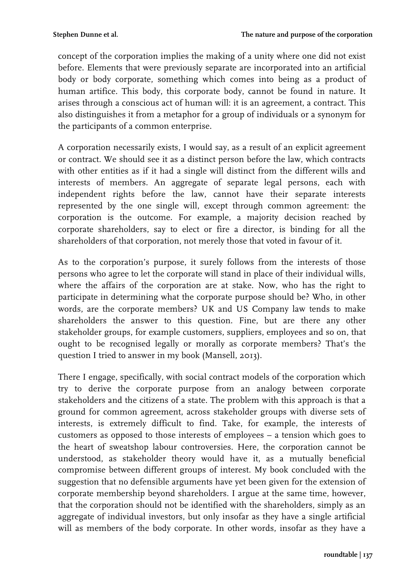concept of the corporation implies the making of a unity where one did not exist before. Elements that were previously separate are incorporated into an artificial body or body corporate, something which comes into being as a product of human artifice. This body, this corporate body, cannot be found in nature. It arises through a conscious act of human will: it is an agreement, a contract. This also distinguishes it from a metaphor for a group of individuals or a synonym for the participants of a common enterprise.

A corporation necessarily exists, I would say, as a result of an explicit agreement or contract. We should see it as a distinct person before the law, which contracts with other entities as if it had a single will distinct from the different wills and interests of members. An aggregate of separate legal persons, each with independent rights before the law, cannot have their separate interests represented by the one single will, except through common agreement: the corporation is the outcome. For example, a majority decision reached by corporate shareholders, say to elect or fire a director, is binding for all the shareholders of that corporation, not merely those that voted in favour of it.

As to the corporation's purpose, it surely follows from the interests of those persons who agree to let the corporate will stand in place of their individual wills, where the affairs of the corporation are at stake. Now, who has the right to participate in determining what the corporate purpose should be? Who, in other words, are the corporate members? UK and US Company law tends to make shareholders the answer to this question. Fine, but are there any other stakeholder groups, for example customers, suppliers, employees and so on, that ought to be recognised legally or morally as corporate members? That's the question I tried to answer in my book (Mansell, 2013).

There I engage, specifically, with social contract models of the corporation which try to derive the corporate purpose from an analogy between corporate stakeholders and the citizens of a state. The problem with this approach is that a ground for common agreement, across stakeholder groups with diverse sets of interests, is extremely difficult to find. Take, for example, the interests of customers as opposed to those interests of employees – a tension which goes to the heart of sweatshop labour controversies. Here, the corporation cannot be understood, as stakeholder theory would have it, as a mutually beneficial compromise between different groups of interest. My book concluded with the suggestion that no defensible arguments have yet been given for the extension of corporate membership beyond shareholders. I argue at the same time, however, that the corporation should not be identified with the shareholders, simply as an aggregate of individual investors, but only insofar as they have a single artificial will as members of the body corporate. In other words, insofar as they have a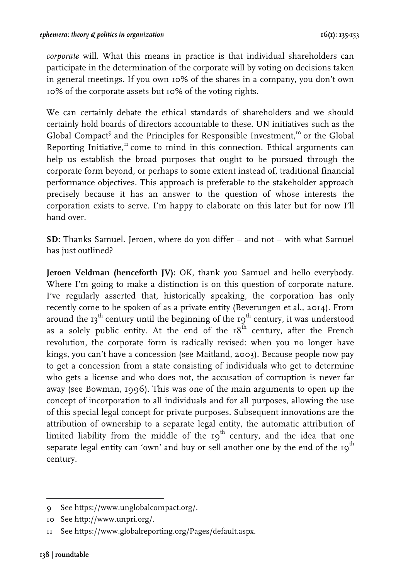*corporate* will. What this means in practice is that individual shareholders can participate in the determination of the corporate will by voting on decisions taken in general meetings. If you own 10% of the shares in a company, you don't own 10% of the corporate assets but 10% of the voting rights.

We can certainly debate the ethical standards of shareholders and we should certainly hold boards of directors accountable to these. UN initiatives such as the Global Compact<sup>9</sup> and the Principles for Responsible Investment.<sup>10</sup> or the Global Reporting Initiative, $\frac{\pi}{2}$  come to mind in this connection. Ethical arguments can help us establish the broad purposes that ought to be pursued through the corporate form beyond, or perhaps to some extent instead of, traditional financial performance objectives. This approach is preferable to the stakeholder approach precisely because it has an answer to the question of whose interests the corporation exists to serve. I'm happy to elaborate on this later but for now I'll hand over.

**SD:** Thanks Samuel. Jeroen, where do you differ – and not – with what Samuel has just outlined?

**Jeroen Veldman (henceforth JV):** OK, thank you Samuel and hello everybody. Where I'm going to make a distinction is on this question of corporate nature. I've regularly asserted that, historically speaking, the corporation has only recently come to be spoken of as a private entity (Beverungen et al., 2014). From around the  $13<sup>th</sup>$  century until the beginning of the  $19<sup>th</sup>$  century, it was understood as a solely public entity. At the end of the  $18^{th}$  century, after the French revolution, the corporate form is radically revised: when you no longer have kings, you can't have a concession (see Maitland, 2003). Because people now pay to get a concession from a state consisting of individuals who get to determine who gets a license and who does not, the accusation of corruption is never far away (see Bowman, 1996). This was one of the main arguments to open up the concept of incorporation to all individuals and for all purposes, allowing the use of this special legal concept for private purposes. Subsequent innovations are the attribution of ownership to a separate legal entity, the automatic attribution of limited liability from the middle of the  $19<sup>th</sup>$  century, and the idea that one separate legal entity can 'own' and buy or sell another one by the end of the  $10<sup>th</sup>$ century.

 9 See https://www.unglobalcompact.org/.

<sup>10</sup> See http://www.unpri.org/.

<sup>11</sup> See https://www.globalreporting.org/Pages/default.aspx.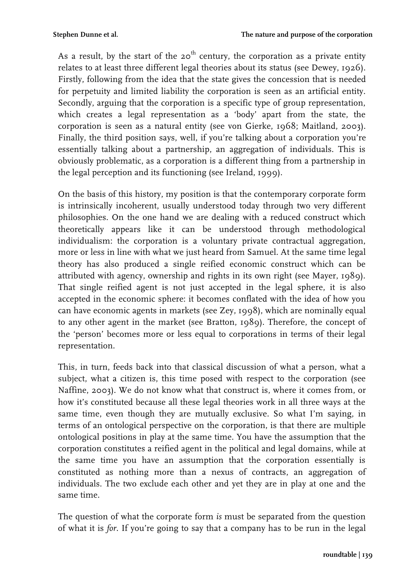As a result, by the start of the  $20<sup>th</sup>$  century, the corporation as a private entity relates to at least three different legal theories about its status (see Dewey, 1926). Firstly, following from the idea that the state gives the concession that is needed for perpetuity and limited liability the corporation is seen as an artificial entity. Secondly, arguing that the corporation is a specific type of group representation, which creates a legal representation as a 'body' apart from the state, the corporation is seen as a natural entity (see von Gierke, 1968; Maitland, 2003). Finally, the third position says, well, if you're talking about a corporation you're essentially talking about a partnership, an aggregation of individuals. This is obviously problematic, as a corporation is a different thing from a partnership in the legal perception and its functioning (see Ireland, 1999).

On the basis of this history, my position is that the contemporary corporate form is intrinsically incoherent, usually understood today through two very different philosophies. On the one hand we are dealing with a reduced construct which theoretically appears like it can be understood through methodological individualism: the corporation is a voluntary private contractual aggregation, more or less in line with what we just heard from Samuel. At the same time legal theory has also produced a single reified economic construct which can be attributed with agency, ownership and rights in its own right (see Mayer, 1989). That single reified agent is not just accepted in the legal sphere, it is also accepted in the economic sphere: it becomes conflated with the idea of how you can have economic agents in markets (see Zey, 1998), which are nominally equal to any other agent in the market (see Bratton, 1989). Therefore, the concept of the 'person' becomes more or less equal to corporations in terms of their legal representation.

This, in turn, feeds back into that classical discussion of what a person, what a subject, what a citizen is, this time posed with respect to the corporation (see Naffine, 2003). We do not know what that construct is, where it comes from, or how it's constituted because all these legal theories work in all three ways at the same time, even though they are mutually exclusive. So what I'm saying, in terms of an ontological perspective on the corporation, is that there are multiple ontological positions in play at the same time. You have the assumption that the corporation constitutes a reified agent in the political and legal domains, while at the same time you have an assumption that the corporation essentially is constituted as nothing more than a nexus of contracts, an aggregation of individuals. The two exclude each other and yet they are in play at one and the same time.

The question of what the corporate form *is* must be separated from the question of what it is *for*. If you're going to say that a company has to be run in the legal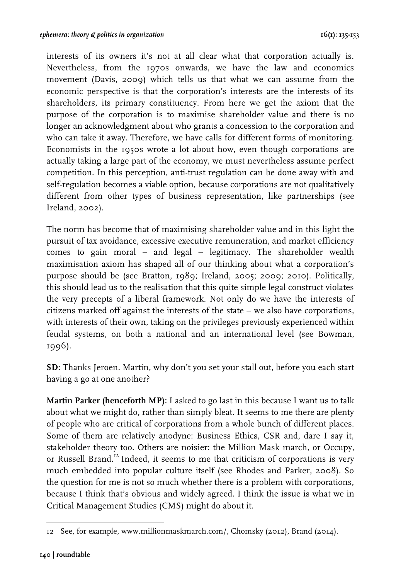interests of its owners it's not at all clear what that corporation actually is. Nevertheless, from the 1970s onwards, we have the law and economics movement (Davis, 2009) which tells us that what we can assume from the economic perspective is that the corporation's interests are the interests of its shareholders, its primary constituency. From here we get the axiom that the purpose of the corporation is to maximise shareholder value and there is no longer an acknowledgment about who grants a concession to the corporation and who can take it away. Therefore, we have calls for different forms of monitoring. Economists in the 1950s wrote a lot about how, even though corporations are actually taking a large part of the economy, we must nevertheless assume perfect competition. In this perception, anti-trust regulation can be done away with and self-regulation becomes a viable option, because corporations are not qualitatively different from other types of business representation, like partnerships (see Ireland, 2002).

The norm has become that of maximising shareholder value and in this light the pursuit of tax avoidance, excessive executive remuneration, and market efficiency comes to gain moral – and legal – legitimacy. The shareholder wealth maximisation axiom has shaped all of our thinking about what a corporation's purpose should be (see Bratton, 1989; Ireland, 2005; 2009; 2010). Politically, this should lead us to the realisation that this quite simple legal construct violates the very precepts of a liberal framework. Not only do we have the interests of citizens marked off against the interests of the state – we also have corporations, with interests of their own, taking on the privileges previously experienced within feudal systems, on both a national and an international level (see Bowman, 1996).

**SD:** Thanks Jeroen. Martin, why don't you set your stall out, before you each start having a go at one another?

**Martin Parker (henceforth MP):** I asked to go last in this because I want us to talk about what we might do, rather than simply bleat. It seems to me there are plenty of people who are critical of corporations from a whole bunch of different places. Some of them are relatively anodyne: Business Ethics, CSR and, dare I say it, stakeholder theory too. Others are noisier: the Million Mask march, or Occupy, or Russell Brand.<sup>12</sup> Indeed, it seems to me that criticism of corporations is very much embedded into popular culture itself (see Rhodes and Parker, 2008). So the question for me is not so much whether there is a problem with corporations, because I think that's obvious and widely agreed. I think the issue is what we in Critical Management Studies (CMS) might do about it.

 $\frac{1}{2}$   $\frac{1}{2}$   $\frac{1}{2}$   $\frac{1}{2}$   $\frac{1}{2}$   $\frac{1}{2}$   $\frac{1}{2}$   $\frac{1}{2}$   $\frac{1}{2}$   $\frac{1}{2}$   $\frac{1}{2}$   $\frac{1}{2}$   $\frac{1}{2}$   $\frac{1}{2}$   $\frac{1}{2}$   $\frac{1}{2}$   $\frac{1}{2}$   $\frac{1}{2}$   $\frac{1}{2}$   $\frac{1}{2}$   $\frac{1}{2}$   $\frac{1}{2}$  12 See, for example, www.millionmaskmarch.com/, Chomsky (2012), Brand (2014).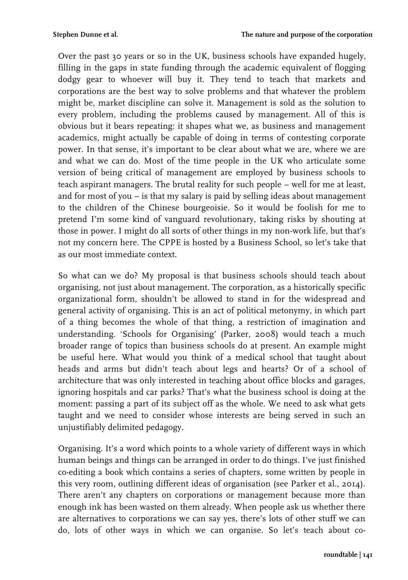Over the past 30 years or so in the UK, business schools have expanded hugely, filling in the gaps in state funding through the academic equivalent of flogging dodgy gear to whoever will buy it. They tend to teach that markets and corporations are the best way to solve problems and that whatever the problem might be, market discipline can solve it. Management is sold as the solution to every problem, including the problems caused by management. All of this is obvious but it bears repeating: it shapes what we, as business and management academics, might actually be capable of doing in terms of contesting corporate power. In that sense, it's important to be clear about what we are, where we are and what we can do. Most of the time people in the UK who articulate some version of being critical of management are employed by business schools to teach aspirant managers. The brutal reality for such people – well for me at least, and for most of you – is that my salary is paid by selling ideas about management to the children of the Chinese bourgeoisie. So it would be foolish for me to pretend I'm some kind of vanguard revolutionary, taking risks by shouting at those in power. I might do all sorts of other things in my non-work life, but that's not my concern here. The CPPE is hosted by a Business School, so let's take that as our most immediate context.

So what can we do? My proposal is that business schools should teach about organising, not just about management. The corporation, as a historically specific organizational form, shouldn't be allowed to stand in for the widespread and general activity of organising. This is an act of political metonymy, in which part of a thing becomes the whole of that thing, a restriction of imagination and understanding. 'Schools for Organising' (Parker, 2008) would teach a much broader range of topics than business schools do at present. An example might be useful here. What would you think of a medical school that taught about heads and arms but didn't teach about legs and hearts? Or of a school of architecture that was only interested in teaching about office blocks and garages, ignoring hospitals and car parks? That's what the business school is doing at the moment: passing a part of its subject off as the whole. We need to ask what gets taught and we need to consider whose interests are being served in such an unjustifiably delimited pedagogy.

Organising. It's a word which points to a whole variety of different ways in which human beings and things can be arranged in order to do things. I've just finished co-editing a book which contains a series of chapters, some written by people in this very room, outlining different ideas of organisation (see Parker et al., 2014). There aren't any chapters on corporations or management because more than enough ink has been wasted on them already. When people ask us whether there are alternatives to corporations we can say yes, there's lots of other stuff we can do, lots of other ways in which we can organise. So let's teach about co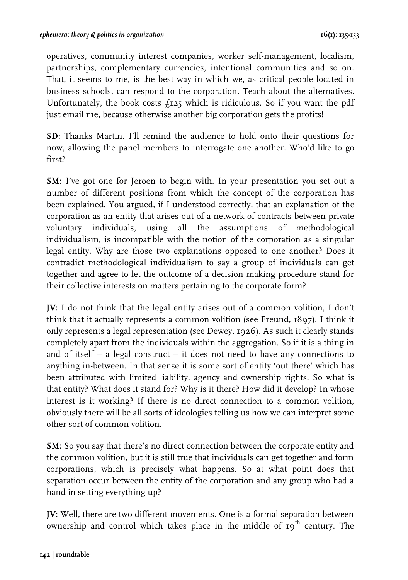operatives, community interest companies, worker self-management, localism, partnerships, complementary currencies, intentional communities and so on. That, it seems to me, is the best way in which we, as critical people located in business schools, can respond to the corporation. Teach about the alternatives. Unfortunately, the book costs  $f_1z_5$  which is ridiculous. So if you want the pdf just email me, because otherwise another big corporation gets the profits!

**SD:** Thanks Martin. I'll remind the audience to hold onto their questions for now, allowing the panel members to interrogate one another. Who'd like to go first?

**SM:** I've got one for Jeroen to begin with. In your presentation you set out a number of different positions from which the concept of the corporation has been explained. You argued, if I understood correctly, that an explanation of the corporation as an entity that arises out of a network of contracts between private voluntary individuals, using all the assumptions of methodological individualism, is incompatible with the notion of the corporation as a singular legal entity. Why are those two explanations opposed to one another? Does it contradict methodological individualism to say a group of individuals can get together and agree to let the outcome of a decision making procedure stand for their collective interests on matters pertaining to the corporate form?

**JV:** I do not think that the legal entity arises out of a common volition, I don't think that it actually represents a common volition (see Freund, 1897). I think it only represents a legal representation (see Dewey, 1926). As such it clearly stands completely apart from the individuals within the aggregation. So if it is a thing in and of itself – a legal construct – it does not need to have any connections to anything in-between. In that sense it is some sort of entity 'out there' which has been attributed with limited liability, agency and ownership rights. So what is that entity? What does it stand for? Why is it there? How did it develop? In whose interest is it working? If there is no direct connection to a common volition, obviously there will be all sorts of ideologies telling us how we can interpret some other sort of common volition.

**SM:** So you say that there's no direct connection between the corporate entity and the common volition, but it is still true that individuals can get together and form corporations, which is precisely what happens. So at what point does that separation occur between the entity of the corporation and any group who had a hand in setting everything up?

**JV:** Well, there are two different movements. One is a formal separation between ownership and control which takes place in the middle of  $19<sup>th</sup>$  century. The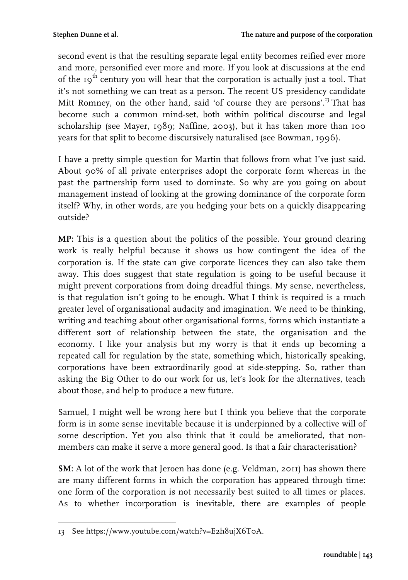second event is that the resulting separate legal entity becomes reified ever more and more, personified ever more and more. If you look at discussions at the end of the  $19<sup>th</sup>$  century you will hear that the corporation is actually just a tool. That it's not something we can treat as a person. The recent US presidency candidate Mitt Romney, on the other hand, said 'of course they are persons'.<sup>13</sup> That has become such a common mind-set, both within political discourse and legal scholarship (see Mayer, 1989; Naffine, 2003), but it has taken more than 100 years for that split to become discursively naturalised (see Bowman, 1996).

I have a pretty simple question for Martin that follows from what I've just said. About 90% of all private enterprises adopt the corporate form whereas in the past the partnership form used to dominate. So why are you going on about management instead of looking at the growing dominance of the corporate form itself? Why, in other words, are you hedging your bets on a quickly disappearing outside?

**MP:** This is a question about the politics of the possible. Your ground clearing work is really helpful because it shows us how contingent the idea of the corporation is. If the state can give corporate licences they can also take them away. This does suggest that state regulation is going to be useful because it might prevent corporations from doing dreadful things. My sense, nevertheless, is that regulation isn't going to be enough. What I think is required is a much greater level of organisational audacity and imagination. We need to be thinking, writing and teaching about other organisational forms, forms which instantiate a different sort of relationship between the state, the organisation and the economy. I like your analysis but my worry is that it ends up becoming a repeated call for regulation by the state, something which, historically speaking, corporations have been extraordinarily good at side-stepping. So, rather than asking the Big Other to do our work for us, let's look for the alternatives, teach about those, and help to produce a new future.

Samuel, I might well be wrong here but I think you believe that the corporate form is in some sense inevitable because it is underpinned by a collective will of some description. Yet you also think that it could be ameliorated, that nonmembers can make it serve a more general good. Is that a fair characterisation?

**SM:** A lot of the work that Jeroen has done (e.g. Veldman, 2011) has shown there are many different forms in which the corporation has appeared through time: one form of the corporation is not necessarily best suited to all times or places. As to whether incorporation is inevitable, there are examples of people

<sup>&</sup>lt;u> Alban Alban (</u> 13 See https://www.youtube.com/watch?v=E2h8ujX6T0A.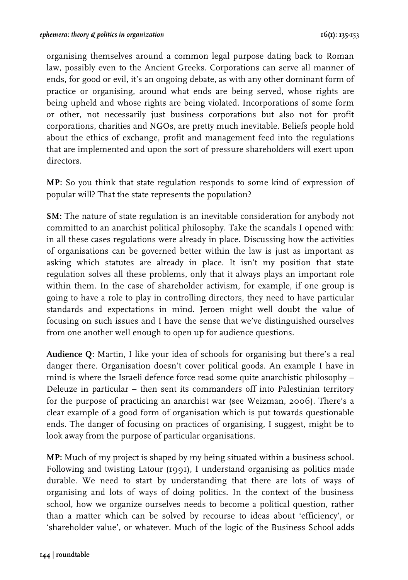organising themselves around a common legal purpose dating back to Roman law, possibly even to the Ancient Greeks. Corporations can serve all manner of ends, for good or evil, it's an ongoing debate, as with any other dominant form of practice or organising, around what ends are being served, whose rights are being upheld and whose rights are being violated. Incorporations of some form or other, not necessarily just business corporations but also not for profit corporations, charities and NGOs, are pretty much inevitable. Beliefs people hold about the ethics of exchange, profit and management feed into the regulations that are implemented and upon the sort of pressure shareholders will exert upon directors.

**MP:** So you think that state regulation responds to some kind of expression of popular will? That the state represents the population?

**SM:** The nature of state regulation is an inevitable consideration for anybody not committed to an anarchist political philosophy. Take the scandals I opened with: in all these cases regulations were already in place. Discussing how the activities of organisations can be governed better within the law is just as important as asking which statutes are already in place. It isn't my position that state regulation solves all these problems, only that it always plays an important role within them. In the case of shareholder activism, for example, if one group is going to have a role to play in controlling directors, they need to have particular standards and expectations in mind. Jeroen might well doubt the value of focusing on such issues and I have the sense that we've distinguished ourselves from one another well enough to open up for audience questions.

**Audience Q:** Martin, I like your idea of schools for organising but there's a real danger there. Organisation doesn't cover political goods. An example I have in mind is where the Israeli defence force read some quite anarchistic philosophy – Deleuze in particular – then sent its commanders off into Palestinian territory for the purpose of practicing an anarchist war (see Weizman, 2006). There's a clear example of a good form of organisation which is put towards questionable ends. The danger of focusing on practices of organising, I suggest, might be to look away from the purpose of particular organisations.

**MP:** Much of my project is shaped by my being situated within a business school. Following and twisting Latour (1991), I understand organising as politics made durable. We need to start by understanding that there are lots of ways of organising and lots of ways of doing politics. In the context of the business school, how we organize ourselves needs to become a political question, rather than a matter which can be solved by recourse to ideas about 'efficiency', or 'shareholder value', or whatever. Much of the logic of the Business School adds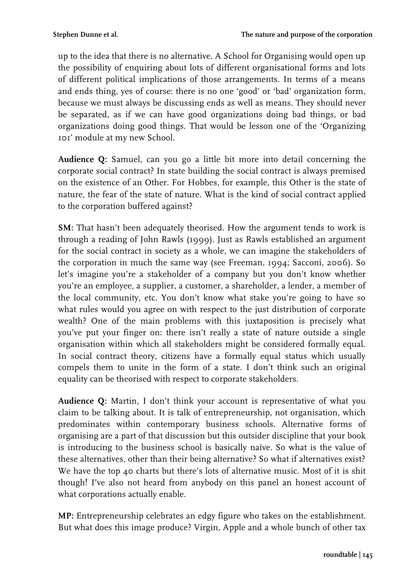up to the idea that there is no alternative. A School for Organising would open up the possibility of enquiring about lots of different organisational forms and lots of different political implications of those arrangements. In terms of a means and ends thing, yes of course: there is no one 'good' or 'bad' organization form, because we must always be discussing ends as well as means. They should never be separated, as if we can have good organizations doing bad things, or bad organizations doing good things. That would be lesson one of the 'Organizing 101' module at my new School.

**Audience Q:** Samuel, can you go a little bit more into detail concerning the corporate social contract? In state building the social contract is always premised on the existence of an Other. For Hobbes, for example, this Other is the state of nature, the fear of the state of nature. What is the kind of social contract applied to the corporation buffered against?

**SM:** That hasn't been adequately theorised. How the argument tends to work is through a reading of John Rawls (1999). Just as Rawls established an argument for the social contract in society as a whole, we can imagine the stakeholders of the corporation in much the same way (see Freeman, 1994; Sacconi, 2006). So let's imagine you're a stakeholder of a company but you don't know whether you're an employee, a supplier, a customer, a shareholder, a lender, a member of the local community, etc. You don't know what stake you're going to have so what rules would you agree on with respect to the just distribution of corporate wealth? One of the main problems with this juxtaposition is precisely what you've put your finger on: there isn't really a state of nature outside a single organisation within which all stakeholders might be considered formally equal. In social contract theory, citizens have a formally equal status which usually compels them to unite in the form of a state. I don't think such an original equality can be theorised with respect to corporate stakeholders.

**Audience Q:** Martin, I don't think your account is representative of what you claim to be talking about. It is talk of entrepreneurship, not organisation, which predominates within contemporary business schools. Alternative forms of organising are a part of that discussion but this outsider discipline that your book is introducing to the business school is basically naïve. So what is the value of these alternatives, other than their being alternative? So what if alternatives exist? We have the top 40 charts but there's lots of alternative music. Most of it is shit though! I've also not heard from anybody on this panel an honest account of what corporations actually enable.

**MP:** Entrepreneurship celebrates an edgy figure who takes on the establishment. But what does this image produce? Virgin, Apple and a whole bunch of other tax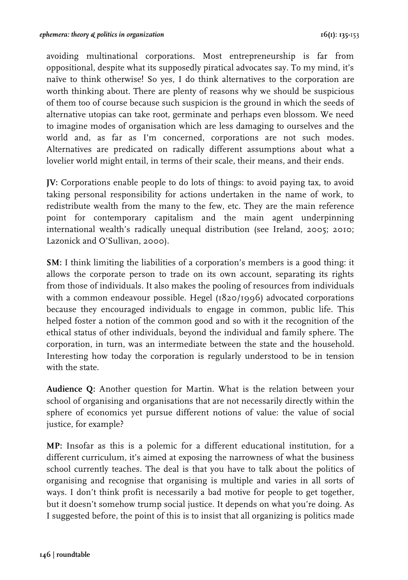avoiding multinational corporations. Most entrepreneurship is far from oppositional, despite what its supposedly piratical advocates say. To my mind, it's naïve to think otherwise! So yes, I do think alternatives to the corporation are worth thinking about. There are plenty of reasons why we should be suspicious of them too of course because such suspicion is the ground in which the seeds of alternative utopias can take root, germinate and perhaps even blossom. We need to imagine modes of organisation which are less damaging to ourselves and the world and, as far as I'm concerned, corporations are not such modes. Alternatives are predicated on radically different assumptions about what a lovelier world might entail, in terms of their scale, their means, and their ends.

**JV:** Corporations enable people to do lots of things: to avoid paying tax, to avoid taking personal responsibility for actions undertaken in the name of work, to redistribute wealth from the many to the few, etc. They are the main reference point for contemporary capitalism and the main agent underpinning international wealth's radically unequal distribution (see Ireland, 2005; 2010; Lazonick and O'Sullivan, 2000).

**SM:** I think limiting the liabilities of a corporation's members is a good thing: it allows the corporate person to trade on its own account, separating its rights from those of individuals. It also makes the pooling of resources from individuals with a common endeavour possible. Hegel (1820/1996) advocated corporations because they encouraged individuals to engage in common, public life. This helped foster a notion of the common good and so with it the recognition of the ethical status of other individuals, beyond the individual and family sphere. The corporation, in turn, was an intermediate between the state and the household. Interesting how today the corporation is regularly understood to be in tension with the state.

**Audience Q:** Another question for Martin. What is the relation between your school of organising and organisations that are not necessarily directly within the sphere of economics yet pursue different notions of value: the value of social justice, for example?

**MP:** Insofar as this is a polemic for a different educational institution, for a different curriculum, it's aimed at exposing the narrowness of what the business school currently teaches. The deal is that you have to talk about the politics of organising and recognise that organising is multiple and varies in all sorts of ways. I don't think profit is necessarily a bad motive for people to get together, but it doesn't somehow trump social justice. It depends on what you're doing. As I suggested before, the point of this is to insist that all organizing is politics made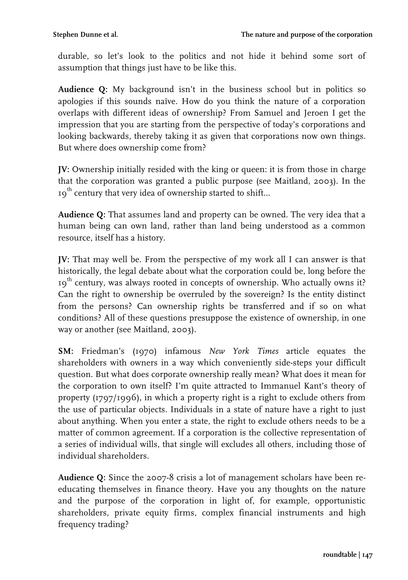durable, so let's look to the politics and not hide it behind some sort of assumption that things just have to be like this.

**Audience Q:** My background isn't in the business school but in politics so apologies if this sounds naïve. How do you think the nature of a corporation overlaps with different ideas of ownership? From Samuel and Jeroen I get the impression that you are starting from the perspective of today's corporations and looking backwards, thereby taking it as given that corporations now own things. But where does ownership come from?

**JV:** Ownership initially resided with the king or queen: it is from those in charge that the corporation was granted a public purpose (see Maitland, 2003). In the  $\mathfrak{g}^{\text{th}}$  century that very idea of ownership started to shift...

**Audience Q:** That assumes land and property can be owned. The very idea that a human being can own land, rather than land being understood as a common resource, itself has a history.

**JV:** That may well be. From the perspective of my work all I can answer is that historically, the legal debate about what the corporation could be, long before the  $19<sup>th</sup>$  century, was always rooted in concepts of ownership. Who actually owns it? Can the right to ownership be overruled by the sovereign? Is the entity distinct from the persons? Can ownership rights be transferred and if so on what conditions? All of these questions presuppose the existence of ownership, in one way or another (see Maitland, 2003).

**SM:** Friedman's (1970) infamous *New York Times* article equates the shareholders with owners in a way which conveniently side-steps your difficult question. But what does corporate ownership really mean? What does it mean for the corporation to own itself? I'm quite attracted to Immanuel Kant's theory of property (1797/1996), in which a property right is a right to exclude others from the use of particular objects. Individuals in a state of nature have a right to just about anything. When you enter a state, the right to exclude others needs to be a matter of common agreement. If a corporation is the collective representation of a series of individual wills, that single will excludes all others, including those of individual shareholders.

**Audience Q:** Since the 2007-8 crisis a lot of management scholars have been reeducating themselves in finance theory. Have you any thoughts on the nature and the purpose of the corporation in light of, for example, opportunistic shareholders, private equity firms, complex financial instruments and high frequency trading?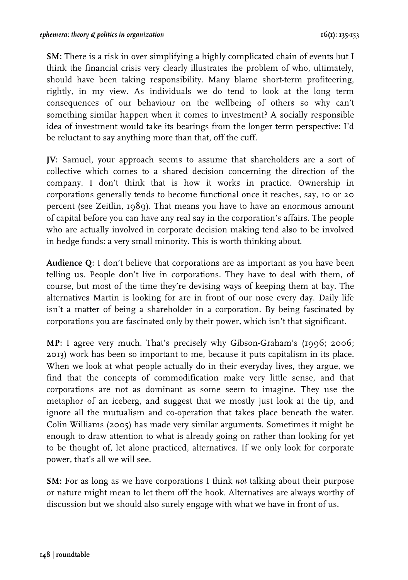**SM:** There is a risk in over simplifying a highly complicated chain of events but I think the financial crisis very clearly illustrates the problem of who, ultimately, should have been taking responsibility. Many blame short-term profiteering, rightly, in my view. As individuals we do tend to look at the long term consequences of our behaviour on the wellbeing of others so why can't something similar happen when it comes to investment? A socially responsible idea of investment would take its bearings from the longer term perspective: I'd be reluctant to say anything more than that, off the cuff.

**JV:** Samuel, your approach seems to assume that shareholders are a sort of collective which comes to a shared decision concerning the direction of the company. I don't think that is how it works in practice. Ownership in corporations generally tends to become functional once it reaches, say, 10 or 20 percent (see Zeitlin, 1989). That means you have to have an enormous amount of capital before you can have any real say in the corporation's affairs. The people who are actually involved in corporate decision making tend also to be involved in hedge funds: a very small minority. This is worth thinking about.

**Audience Q:** I don't believe that corporations are as important as you have been telling us. People don't live in corporations. They have to deal with them, of course, but most of the time they're devising ways of keeping them at bay. The alternatives Martin is looking for are in front of our nose every day. Daily life isn't a matter of being a shareholder in a corporation. By being fascinated by corporations you are fascinated only by their power, which isn't that significant.

**MP:** I agree very much. That's precisely why Gibson-Graham's (1996; 2006; 2013) work has been so important to me, because it puts capitalism in its place. When we look at what people actually do in their everyday lives, they argue, we find that the concepts of commodification make very little sense, and that corporations are not as dominant as some seem to imagine. They use the metaphor of an iceberg, and suggest that we mostly just look at the tip, and ignore all the mutualism and co-operation that takes place beneath the water. Colin Williams (2005) has made very similar arguments. Sometimes it might be enough to draw attention to what is already going on rather than looking for yet to be thought of, let alone practiced, alternatives. If we only look for corporate power, that's all we will see.

**SM:** For as long as we have corporations I think *not* talking about their purpose or nature might mean to let them off the hook. Alternatives are always worthy of discussion but we should also surely engage with what we have in front of us.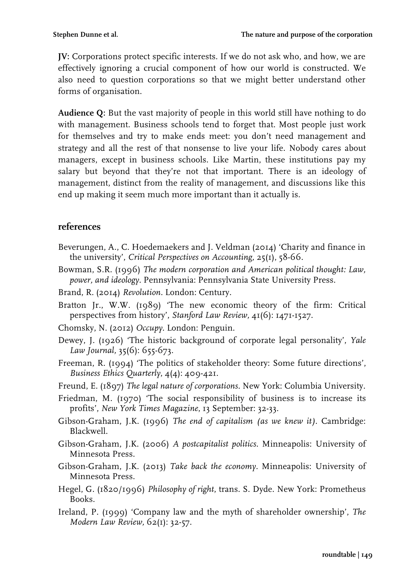**JV:** Corporations protect specific interests. If we do not ask who, and how, we are effectively ignoring a crucial component of how our world is constructed. We also need to question corporations so that we might better understand other forms of organisation.

**Audience Q:** But the vast majority of people in this world still have nothing to do with management. Business schools tend to forget that. Most people just work for themselves and try to make ends meet: you don't need management and strategy and all the rest of that nonsense to live your life. Nobody cares about managers, except in business schools. Like Martin, these institutions pay my salary but beyond that they're not that important. There is an ideology of management, distinct from the reality of management, and discussions like this end up making it seem much more important than it actually is.

### **references**

- Beverungen, A., C. Hoedemaekers and J. Veldman (2014) 'Charity and finance in the university', *Critical Perspectives on Accounting,* 25(1), 58-66.
- Bowman, S.R. (1996) *The modern corporation and American political thought: Law, power, and ideology*. Pennsylvania: Pennsylvania State University Press.
- Brand, R. (2014) *Revolution*. London: Century.
- Bratton Jr., W.W. (1989) 'The new economic theory of the firm: Critical perspectives from history', *Stanford Law Review,* 41(6): 1471-1527.
- Chomsky, N. (2012) *Occupy*. London: Penguin.
- Dewey, J. (1926) 'The historic background of corporate legal personality', *Yale Law Journal,* 35(6): 655-673.
- Freeman, R. (1994) 'The politics of stakeholder theory: Some future directions', *Business Ethics Quarterly*, 4(4): 409-421.
- Freund, E. (1897) *The legal nature of corporations*. New York: Columbia University.
- Friedman, M. (1970) 'The social responsibility of business is to increase its profits', *New York Times Magazine*, 13 September: 32-33.
- Gibson-Graham, J.K. (1996) *The end of capitalism (as we knew it)*. Cambridge: Blackwell.
- Gibson-Graham, J.K. (2006) *A postcapitalist politics*. Minneapolis: University of Minnesota Press.
- Gibson-Graham, J.K. (2013) *Take back the economy.* Minneapolis: University of Minnesota Press.
- Hegel, G. (1820/1996) *Philosophy of right*, trans. S. Dyde. New York: Prometheus Books.
- Ireland, P. (1999) 'Company law and the myth of shareholder ownership', *The Modern Law Review,* 62(1): 32-57.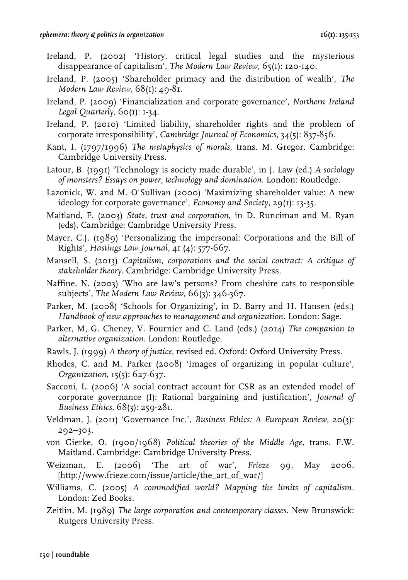- Ireland, P. (2002) 'History, critical legal studies and the mysterious disappearance of capitalism', *The Modern Law Review,* 65(1): 120-140.
- Ireland, P. (2005) 'Shareholder primacy and the distribution of wealth', *The Modern Law Review,* 68(1): 49-81.
- Ireland, P. (2009) 'Financialization and corporate governance', *Northern Ireland Legal Quarterly, 60(1): 1-34.*
- Ireland, P. (2010) 'Limited liability, shareholder rights and the problem of corporate irresponsibility', *Cambridge Journal of Economics,* 34(5): 837-856.
- Kant, I. (1797/1996) *The metaphysics of morals*, trans. M. Gregor. Cambridge: Cambridge University Press.
- Latour, B. (1991) 'Technology is society made durable', in J. Law (ed.) *A sociology of monsters? Essays on power, technology and domination*. London: Routledge.
- Lazonick, W. and M. O'Sullivan (2000) 'Maximizing shareholder value: A new ideology for corporate governance', *Economy and Society,* 29(1): 13-35.
- Maitland, F. (2003) *State, trust and corporation*, in D. Runciman and M. Ryan (eds). Cambridge: Cambridge University Press.
- Mayer, C.J. (1989) 'Personalizing the impersonal: Corporations and the Bill of Rights', *Hastings Law Journal,* 41 (4): 577-667.
- Mansell, S. (2013) *Capitalism, corporations and the social contract: A critique of stakeholder theory.* Cambridge: Cambridge University Press.
- Naffine, N. (2003) 'Who are law's persons? From cheshire cats to responsible subjects', *The Modern Law Review,* 66(3): 346-367.
- Parker, M. (2008) 'Schools for Organizing', in D. Barry and H. Hansen (eds.) *Handbook of new approaches to management and organization*. London: Sage.
- Parker, M, G. Cheney, V. Fournier and C. Land (eds.) (2014) *The companion to alternative organization*. London: Routledge.
- Rawls, J. (1999) *A theory of justice*, revised ed. Oxford: Oxford University Press.
- Rhodes, C. and M. Parker (2008) 'Images of organizing in popular culture', *Organization*, 15(5): 627-637.
- Sacconi, L. (2006) 'A social contract account for CSR as an extended model of corporate governance (I): Rational bargaining and justification', *Journal of Business Ethics*, 68(3): 259-281.
- Veldman, J. (2011) 'Governance Inc.', *Business Ethics: A European Review*, 20(3): 292–303.
- von Gierke, O. (1900/1968) *Political theories of the Middle Age*, trans. F.W. Maitland*.* Cambridge: Cambridge University Press.
- Weizman, E. (2006) 'The art of war', *Frieze* 99, May 2006*.*  [http://www.frieze.com/issue/article/the\_art\_of\_war/]
- Williams, C. (2005) *A commodified world? Mapping the limits of capitalism*. London: Zed Books.
- Zeitlin, M. (1989) *The large corporation and contemporary classes*. New Brunswick: Rutgers University Press.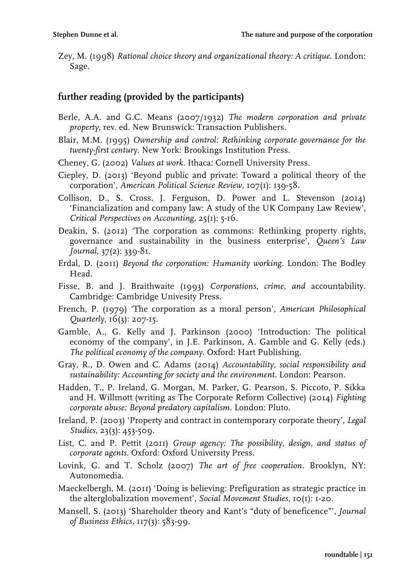Zey, M. (1998) *Rational choice theory and organizational theory: A critique*. London: Sage.

# **further reading (provided by the participants)**

- Berle, A.A. and G.C. Means (2007/1932) *The modern corporation and private property,* rev. ed. New Brunswick: Transaction Publishers.
- Blair, M.M. (1995) *Ownership and control: Rethinking corporate governance for the twenty-first century*. New York: Brookings Institution Press.
- Cheney, G. (2002) *Values at work*. Ithaca: Cornell University Press.
- Ciepley, D. (2013) 'Beyond public and private: Toward a political theory of the corporation', *American Political Science Review*, 107(1): 139-58.
- Collison, D., S. Cross, J. Ferguson, D. Power and L. Stevenson (2014) 'Financialization and company law: A study of the UK Company Law Review', *Critical Perspectives on Accounting*, 25(1): 5-16.
- Deakin, S. (2012) 'The corporation as commons: Rethinking property rights, governance and sustainability in the business enterprise', *Queen's Law Journal*, 37(2): 339-81.
- Erdal, D. (2011) *Beyond the corporation: Humanity working*. London: The Bodley Head.
- Fisse, B. and J. Braithwaite (1993) *Corporations, crime, and* accountability. Cambridge: Cambridge Univesity Press.
- French, P. (1979) 'The corporation as a moral person', *American Philosophical Quarterly*, 16(3): 207-15.
- Gamble, A., G. Kelly and J. Parkinson (2000) 'Introduction: The political economy of the company', in J.E. Parkinson, A. Gamble and G. Kelly (eds.) *The political economy of the company*. Oxford: Hart Publishing.
- Gray, R., D. Owen and C. Adams (2014) *Accountability, social responsibility and sustainability: Accounting for society and the environment*. London: Pearson.
- Hadden, T., P. Ireland, G. Morgan, M. Parker, G. Pearson, S. Piccoto, P. Sikka and H. Willmott (writing as The Corporate Reform Collective) (2014) *Fighting corporate abuse: Beyond predatory capitalism*. London: Pluto.
- Ireland, P. (2003) 'Property and contract in contemporary corporate theory', *Legal Studies*, 23(3): 453-509.
- List, C. and P. Pettit (2011) *Group agency: The possibility, design, and status of corporate agents.* Oxford: Oxford University Press.
- Lovink, G. and T. Scholz (2007) *The art of free cooperation*. Brooklyn, NY: Autonomedia.
- Maeckelbergh, M. (2011) 'Doing is believing: Prefiguration as strategic practice in the alterglobalization movement', *Social Movement Studies*, 10(1): 1-20.
- Mansell, S. (2013) 'Shareholder theory and Kant's "duty of beneficence"', *Journal of Business Ethics*, 117(3): 583-99.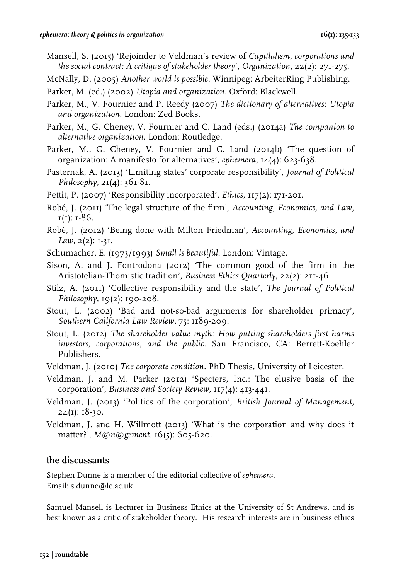- Mansell, S. (2015) 'Rejoinder to Veldman's review of *Capitlalism, corporations and the social contract: A critique of stakeholder theory*', *Organization*, 22(2): 271-275.
- McNally, D. (2005) *Another world is possible*. Winnipeg: ArbeiterRing Publishing.
- Parker, M. (ed.) (2002) *Utopia and organization*. Oxford: Blackwell.
- Parker, M., V. Fournier and P. Reedy (2007) *The dictionary of alternatives: Utopia and organization*. London: Zed Books.
- Parker, M., G. Cheney, V. Fournier and C. Land (eds.) (2014a) *The companion to alternative organization*. London: Routledge.
- Parker, M., G. Cheney, V. Fournier and C. Land (2014b) 'The question of organization: A manifesto for alternatives', *ephemera*, 14(4): 623-638.
- Pasternak, A. (2013) 'Limiting states' corporate responsibility', *Journal of Political Philosophy*, 21(4): 361-81.
- Pettit, P. (2007) 'Responsibility incorporated', *Ethics*, 117(2): 171-201.
- Robé, J. (2011) 'The legal structure of the firm', *Accounting, Economics, and Law*,  $I(I): I-86.$
- Robé, J. (2012) 'Being done with Milton Friedman', *Accounting, Economics, and Law*, 2(2): 1-31.
- Schumacher, E. (1973/1993) *Small is beautiful*. London: Vintage.
- Sison, A. and J. Fontrodona (2012) 'The common good of the firm in the Aristotelian-Thomistic tradition', *Business Ethics Quarterly*, 22(2): 211-46.
- Stilz, A. (2011) 'Collective responsibility and the state', *The Journal of Political Philosophy*, 19(2): 190-208.
- Stout, L. (2002) 'Bad and not-so-bad arguments for shareholder primacy', *Southern California Law Review*, 75: 1189-209.
- Stout, L. (2012) *The shareholder value myth: How putting shareholders first harms investors, corporations, and the public*. San Francisco, CA: Berrett-Koehler Publishers.
- Veldman, J. (2010) *The corporate condition*. PhD Thesis, University of Leicester.
- Veldman, J. and M. Parker (2012) 'Specters, Inc.: The elusive basis of the corporation', *Business and Society Review,* 117(4): 413-441.
- Veldman, J. (2013) 'Politics of the corporation', *British Journal of Management,*   $24(I): 18-30.$
- Veldman, J. and H. Willmott (2013) 'What is the corporation and why does it matter?', *M@n@gement,* 16(5): 605-620.

#### **the discussants**

Stephen Dunne is a member of the editorial collective of *ephemera*. Email: s.dunne@le.ac.uk

Samuel Mansell is Lecturer in Business Ethics at the University of St Andrews, and is best known as a critic of stakeholder theory. His research interests are in business ethics